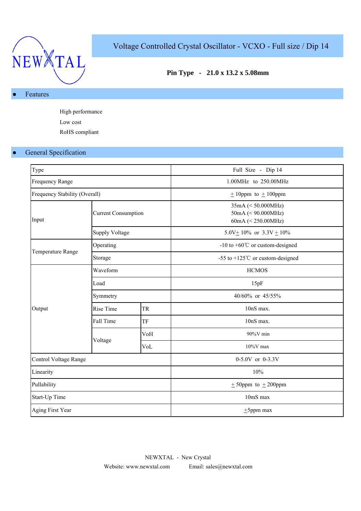

# Voltage Controlled Crystal Oscillator - VCXO - Full size / Dip 14

# **Pin Type - 21.0 x 13.2 x 5.08mm**

#### Features

High performance Low cost RoHS compliant

# **•** General Specification

| Type                          |                                                                                                                                                                                   |  | Full Size - Dip 14                                                      |  |  |  |  |
|-------------------------------|-----------------------------------------------------------------------------------------------------------------------------------------------------------------------------------|--|-------------------------------------------------------------------------|--|--|--|--|
| Frequency Range               |                                                                                                                                                                                   |  | 1.00MHz to 250.00MHz                                                    |  |  |  |  |
| Frequency Stability (Overall) |                                                                                                                                                                                   |  | $\pm$ 10ppm to $\pm$ 100ppm                                             |  |  |  |  |
| Input                         |                                                                                                                                                                                   |  | $35mA \leq 50.000MHz$<br>$50mA \leq 90.000MHz$<br>60mA $(< 250.00$ MHz) |  |  |  |  |
|                               |                                                                                                                                                                                   |  | 5.0V + 10% or $3.3V$ + 10%                                              |  |  |  |  |
|                               | <b>Current Consumption</b><br><b>Supply Voltage</b><br>Operating<br>Storage<br>Waveform<br>Load<br>Symmetry<br>Rise Time<br><b>TR</b><br>Fall Time<br>TF<br>VoH<br>Voltage<br>VoL |  | -10 to $+60^{\circ}$ C or custom-designed                               |  |  |  |  |
| Temperature Range             |                                                                                                                                                                                   |  | -55 to +125 $^{\circ}$ C or custom-designed                             |  |  |  |  |
|                               |                                                                                                                                                                                   |  | <b>HCMOS</b>                                                            |  |  |  |  |
|                               |                                                                                                                                                                                   |  | 15pF                                                                    |  |  |  |  |
|                               |                                                                                                                                                                                   |  | 40/60% or 45/55%                                                        |  |  |  |  |
| Output                        |                                                                                                                                                                                   |  | 10nS max.                                                               |  |  |  |  |
|                               |                                                                                                                                                                                   |  | 10nS max.                                                               |  |  |  |  |
|                               |                                                                                                                                                                                   |  | 90%V min                                                                |  |  |  |  |
|                               |                                                                                                                                                                                   |  | $10\%$ V max                                                            |  |  |  |  |
| Control Voltage Range         |                                                                                                                                                                                   |  | 0-5.0V or 0-3.3V                                                        |  |  |  |  |
| Linearity                     |                                                                                                                                                                                   |  | 10%                                                                     |  |  |  |  |
| Pullability                   |                                                                                                                                                                                   |  | $\pm$ 50ppm to $\pm$ 200ppm                                             |  |  |  |  |
| Start-Up Time                 |                                                                                                                                                                                   |  | 10mS max                                                                |  |  |  |  |
| Aging First Year              |                                                                                                                                                                                   |  | $±5$ ppm max                                                            |  |  |  |  |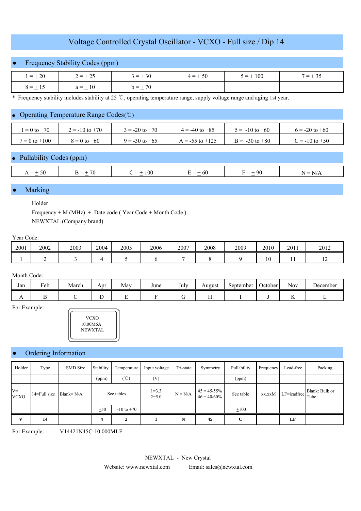# Voltage Controlled Crystal Oscillator - VCXO - Full size / Dip 14

# ● Frequency Stability Codes (ppm)

| $1 = \pm 20$ | $2 = \pm 25$ | $3 = +30$     | $4 = \pm 50$ | $5 = \pm 100$ | $' = \pm 35$ |  |
|--------------|--------------|---------------|--------------|---------------|--------------|--|
| $8 = + 15$   | $a = \pm 10$ | 70<br>$h = 1$ |              |               |              |  |

\* Frequency stability includes stability at 25 ℃, operating temperature range, supply voltage range and aging 1st year.

#### Operating Temperature Range Codes (℃)

| $= 0$ to $+70$    | $\dot{v} = -10$ to $+70$ | $3 = -20$ to $+70$ | $4 = -40$ to $+85$  | $5 = -10$ to $+60$ | $6 = -20$ to $+60$ |
|-------------------|--------------------------|--------------------|---------------------|--------------------|--------------------|
| $7 = 0$ to $+100$ | $8 = 0$ to $+60$         | $9 = -30$ to $+65$ | $A = -55$ to $+125$ | $B = -30$ to $+80$ | $C = -10$ to $+50$ |

## Pullability Codes (ppm)

|                            | 70<br>$\overline{\phantom{a}}$ | $\overline{\phantom{a}}$ |                                    | -96           | . .                                                   |
|----------------------------|--------------------------------|--------------------------|------------------------------------|---------------|-------------------------------------------------------|
| $=$ +<br>$\cdot$<br>$\sim$ | <b>Contract Contract</b>       | 100<br>$\sim$            | $\alpha = +$<br>-60<br>-<br>$\sim$ | $=$<br>$\sim$ | N<br>$\overline{\phantom{a}}$<br>N<br>1 1/ <i>1</i> 1 |
|                            |                                |                          |                                    |               |                                                       |
|                            |                                |                          |                                    |               |                                                       |

#### **Marking**

Holder

Frequency + M (MHz) + Date code ( Year Code + Month Code ) NEWXTAL (Company brand)

#### Year Code:

| 2001 | 2002 | 2003 | 2004 | 2005 | 2006 | 2007 | 2008 | 2009 | 2010 | 2011 | 2012           |
|------|------|------|------|------|------|------|------|------|------|------|----------------|
|      |      |      |      |      |      |      |      |      | 10   | . .  | $\overline{1}$ |

#### Month Code:

| Jan | $\sim$<br>Feb | March | Apr | May | June | July | August | September | $\sim$<br>October | . .<br><b>Nov</b> | December |
|-----|---------------|-------|-----|-----|------|------|--------|-----------|-------------------|-------------------|----------|
| 1 L |               |       | ∸   |     |      |      |        |           |                   |                   |          |

For Example:



#### Ordering Information

| Holder               | Type         | SMD Size     | Stability             | Temperature         | Input voltage          | Tri-state | Symmetry                         | Pullability | Frequency | Lead-free                          | Packing        |
|----------------------|--------------|--------------|-----------------------|---------------------|------------------------|-----------|----------------------------------|-------------|-----------|------------------------------------|----------------|
|                      |              |              | (ppm)                 | $({\rm ^{\circ}C})$ | (V)                    |           |                                  | (ppm)       |           |                                    |                |
| $V =$<br><b>VCXO</b> | 14=Full size | Blank= $N/A$ | See tables            |                     | $1 = 3.3$<br>$2 = 5.0$ | $N = N/A$ | $45 = 45/55\%$<br>$46 = 40/60\%$ | See table   | xx.xxM    | $\cdot$   LF=leadfree $\vert$ Tube | Blank: Bulk or |
|                      |              |              | ±50<br>$-10$ to $+70$ |                     |                        |           |                                  | $+100$      |           |                                    |                |
| $\mathbf{v}$         | 14           |              | 4                     |                     |                        | N         | 45                               | C           |           | LF                                 |                |

For Example: V14421N45C-10.000MLF